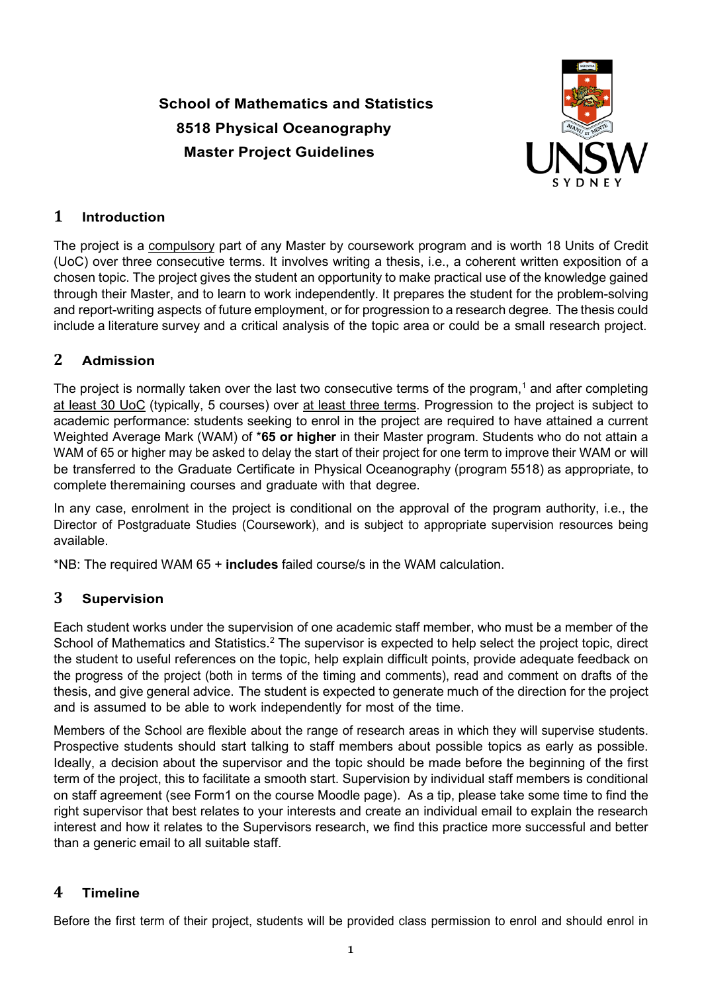# **School of Mathematics and Statistics 8518 Physical Oceanography Master Project Guidelines**



# **1 Introduction**

The project is a compulsory part of any Master by coursework program and is worth 18 Units of Credit (UoC) over three consecutive terms. It involves writing a thesis, i.e., a coherent written exposition of a chosen topic. The project gives the student an opportunity to make practical use of the knowledge gained through their Master, and to learn to work independently. It prepares the student for the problem-solving and report-writing aspects of future employment, or for progression to a research degree. The thesis could include a literature survey and a critical analysis of the topic area or could be a small research project.

## **2 Admission**

The project is normally taken over the last two consecutive terms of the program,<sup>1</sup> and after completing at least 30 UoC (typically, 5 courses) over at least three terms. Progression to the project is subject to academic performance: students seeking to enrol in the project are required to have attained a current Weighted Average Mark (WAM) of \***65 or higher** in their Master program. Students who do not attain a WAM of 65 or higher may be asked to delay the start of their project for one term to improve their WAM or will be transferred to the Graduate Certificate in Physical Oceanography (program 5518) as appropriate, to complete theremaining courses and graduate with that degree.

In any case, enrolment in the project is conditional on the approval of the program authority, i.e., the Director of Postgraduate Studies (Coursework), and is subject to appropriate supervision resources being available.

\*NB: The required WAM 65 + **includes** failed course/s in the WAM calculation.

### **3 Supervision**

Each student works under the supervision of one academic staff member, who must be a member of the School of Mathematics and Statistics.<sup>2</sup> The supervisor is expected to help select the project topic, direct the student to useful references on the topic, help explain difficult points, provide adequate feedback on the progress of the project (both in terms of the timing and comments), read and comment on drafts of the thesis, and give general advice. The student is expected to generate much of the direction for the project and is assumed to be able to work independently for most of the time.

Members of the School are flexible about the range of research areas in which they will supervise students. Prospective students should start talking to staff members about possible topics as early as possible. Ideally, a decision about the supervisor and the topic should be made before the beginning of the first term of the project, this to facilitate a smooth start. Supervision by individual staff members is conditional on staff agreement (see Form1 on the course Moodle page). As a tip, please take some time to find the right supervisor that best relates to your interests and create an individual email to explain the research interest and how it relates to the Supervisors research, we find this practice more successful and better than a generic email to all suitable staff.

### **4 Timeline**

Before the first term of their project, students will be provided class permission to enrol and should enrol in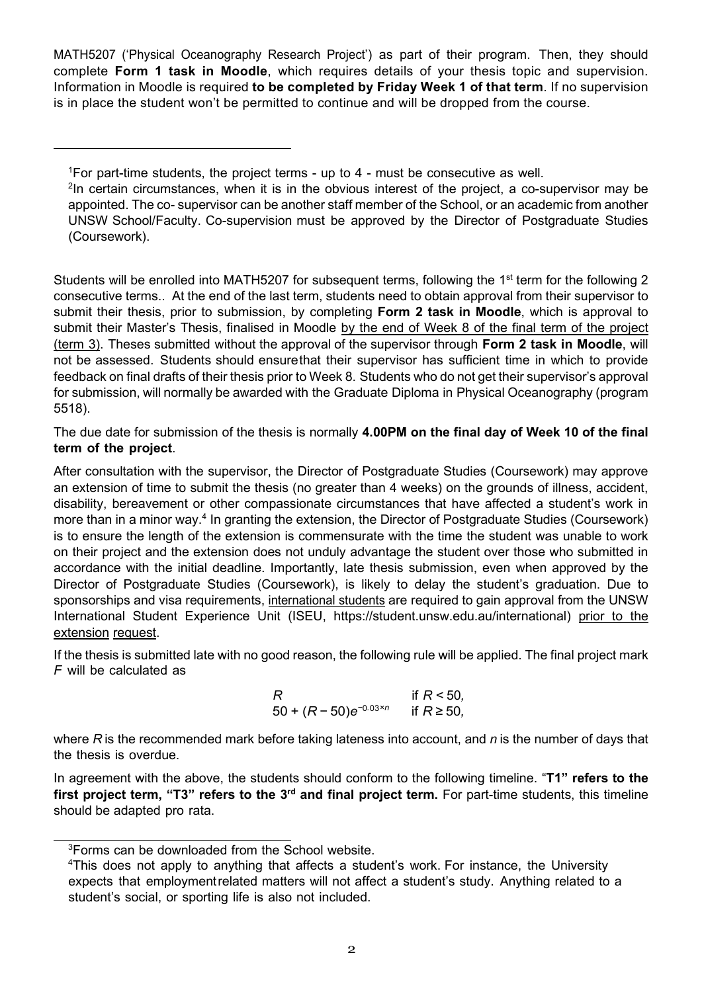MATH5207 ('Physical Oceanography Research Project') as part of their program. Then, they should complete **Form 1 task in Moodle**, which requires details of your thesis topic and supervision. Information in Moodle is required **to be completed by Friday Week 1 of that term**. If no supervision is in place the student won't be permitted to continue and will be dropped from the course.

<span id="page-1-0"></span> $\rm ^1$ For part-time students, the project terms - up to 4 - must be consecutive as well.

 $^{2}$ In certain circumstances, when it is in the obvious interest of the project, a co-supervisor may be appointed. The co- supervisor can be another staff member of the School, or an academic from another UNSW School/Faculty. Co-supervision must be approved by the Director of Postgraduate Studies (Coursework).

Students will be enrolled into MATH5207 for subsequent terms, following the 1<sup>st</sup> term for the following 2 consecutive terms.. At the end of the last term, students need to obtain approval from their supervisor to submit their thesis, prior to submission, by completing **Form 2 task in Moodle**, which is approval to submit their Master's Thesis, finalised in Moodle by the end of Week 8 of the final term of the project (term 3). Theses submitted without the approval of the supervisor through **Form 2 task in Moodle**, will not be assessed. Students should ensurethat their supervisor has sufficient time in which to provide feedback on final drafts of their thesis prior to Week 8. Students who do not get their supervisor's approval for submission, will normally be awarded with the Graduate Diploma in Physical Oceanography (program 5518).

The due date for submission of the thesis is normally **4.00PM on the final day of Week 10 of the final term of the project**.

After consultation with the supervisor, the Director of Postgraduate Studies (Coursework) may approve an extension of time to submit the thesis (no greater than 4 weeks) on the grounds of illness, accident, disability, bereavement or other compassionate circumstances that have affected a student's work in more than in a minor way.<sup>4</sup> In granting the extension, the Director of Postgraduate Studies (Coursework) is to ensure the length of the extension is commensurate with the time the student was unable to work on their project and the extension does not unduly advantage the student over those who submitted in accordance with the initial deadline. Importantly, late thesis submission, even when approved by the Director of Postgraduate Studies (Coursework), is likely to delay the student's graduation. Due to sponsorships and visa requirements, international students are required to gain approval from the UNSW International Student Experience Unit (ISEU, [https://student.unsw.edu.au/international\)](https://student.unsw.edu.au/international) prior to the extension request.

If the thesis is submitted late with no good reason, the following rule will be applied. The final project mark *F* will be calculated as

R if 
$$
R < 50
$$
,  
50 + ( $R - 50$ ) $e^{-0.03 \times n}$  if  $R \ge 50$ ,

where *R* is the recommended mark before taking lateness into account, and *n* is the number of days that the thesis is overdue.

In agreement with the above, the students should conform to the following timeline. "**T1" refers to the** first project term, "T3" refers to the 3<sup>rd</sup> and final project term. For part-time students, this timeline should be adapted pro rata.

<span id="page-1-1"></span> ${}^{3}$ Forms can be downloaded from the School website.

 $^4$ This does not apply to anything that affects a student's work. For instance, the University expects that employmentrelated matters will not affect a student's study. Anything related to a student's social, or sporting life is also not included.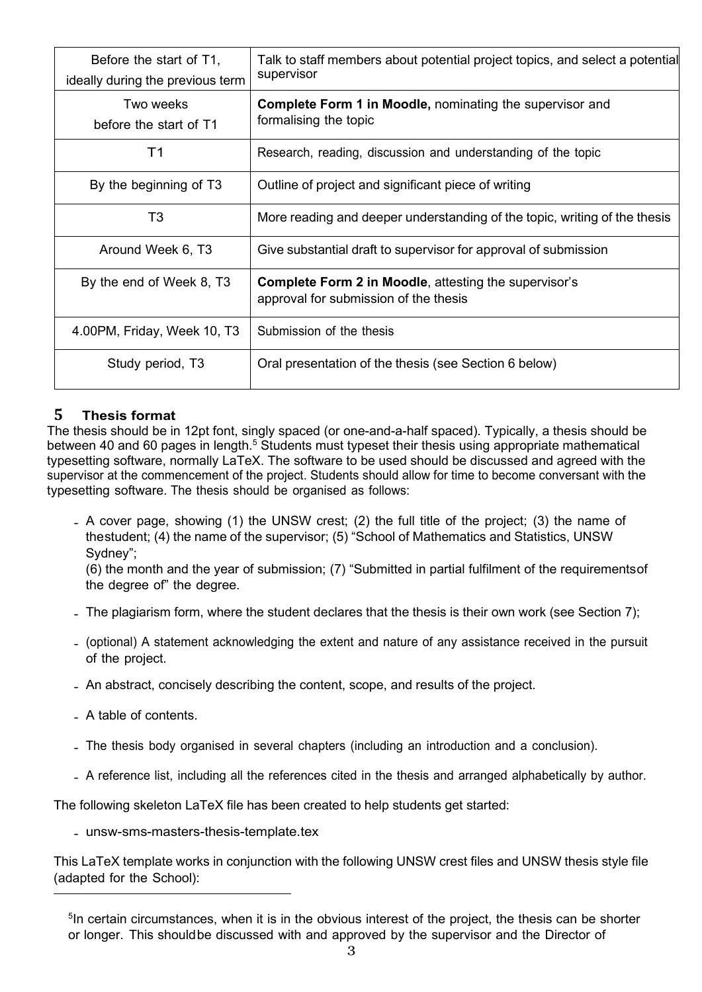| Before the start of T1,<br>ideally during the previous term | Talk to staff members about potential project topics, and select a potential<br>supervisor            |
|-------------------------------------------------------------|-------------------------------------------------------------------------------------------------------|
| Two weeks<br>before the start of T1                         | <b>Complete Form 1 in Moodle, nominating the supervisor and</b><br>formalising the topic              |
| Τ1                                                          | Research, reading, discussion and understanding of the topic                                          |
| By the beginning of T3                                      | Outline of project and significant piece of writing                                                   |
| T3                                                          | More reading and deeper understanding of the topic, writing of the thesis                             |
| Around Week 6, T3                                           | Give substantial draft to supervisor for approval of submission                                       |
| By the end of Week 8, T3                                    | <b>Complete Form 2 in Moodle, attesting the supervisor's</b><br>approval for submission of the thesis |
| 4.00PM, Friday, Week 10, T3                                 | Submission of the thesis                                                                              |
| Study period, T3                                            | Oral presentation of the thesis (see Section 6 below)                                                 |

### **5 Thesis format**

The thesis should be in 12pt font, singly spaced (or one-and-a-half spaced). Typically, a thesis should be between 40 and 60 pages in length.<sup>5</sup> Students must typeset their thesis using appropriate mathematical typesetting software, normally LaTeX. The software to be used should be discussed and agreed with the supervisor at the commencement of the project. Students should allow for time to become conversant with the typesetting software. The thesis should be organised as follows:

• A cover page, showing (1) the UNSW crest; (2) the full title of the project; (3) the name of thestudent; (4) the name of the supervisor; (5) "School of Mathematics and Statistics, UNSW Sydney";

(6) the month and the year of submission; (7) "Submitted in partial fulfilment of the requirementsof the degree of" the degree.

- The plagiarism form, where the student declares that the thesis is their own work (see Section [7\);](#page-3-1)
- (optional) <sup>A</sup> statement acknowledging the extent and nature of any assistance received in the pursuit of the project.
- An abstract, concisely describing the content, scope, and results of the project.
- A table of contents.
- The thesis body organised in several chapters (including an introduction and <sup>a</sup> conclusion).
- <sup>A</sup> reference list, including all the references cited in the thesis and arranged alphabetically by author.

The following skeleton LaTeX file has been created to help students get started:

• [unsw-sms-masters-thesis-template.tex](http://www.maths.unsw.edu.au/sites/default/files/unsw-sms-masters-thesis-template.tex)

This LaTeX template works in conjunction with the following UNSW crest files and UNSW thesis style file (adapted for the School):

<span id="page-2-0"></span><sup>&</sup>lt;sup>5</sup>In certain circumstances, when it is in the obvious interest of the project, the thesis can be shorter or longer. This shouldbe discussed with and approved by the supervisor and the Director of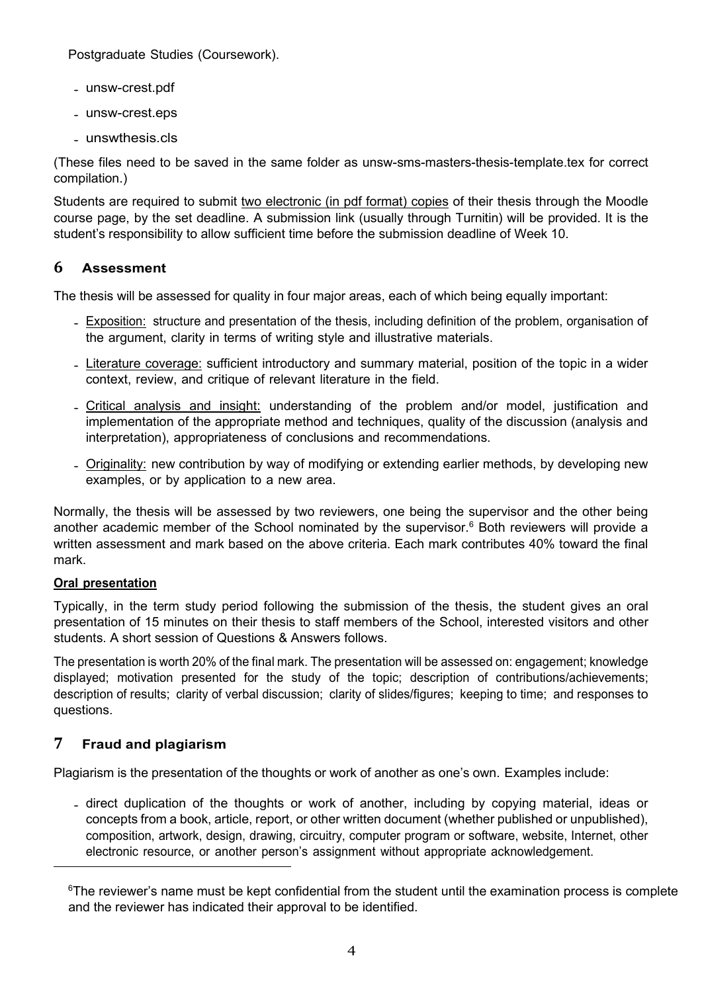Postgraduate Studies (Coursework).

- [unsw-crest.pdf](http://www.maths.unsw.edu.au/sites/default/files/unsw-crest.pdf)
- [unsw-crest.eps](http://www.maths.unsw.edu.au/sites/default/files/unsw-crest.eps)
- [unswthesis.cls](http://www.maths.unsw.edu.au/sites/default/files/unswthesis.cls)

(These files need to be saved in the same folder as unsw-sms-masters-thesis-template.tex for correct compilation.)

Students are required to submit two electronic (in pdf format) copies of their thesis through the Moodle course page, by the set deadline. A submission link (usually through Turnitin) will be provided. It is the student's responsibility to allow sufficient time before the submission deadline of Week 10.

### <span id="page-3-0"></span>**6 Assessment**

The thesis will be assessed for quality in four major areas, each of which being equally important:

- Exposition: structure and presentation of the thesis, including definition of the problem, organisation of the argument, clarity in terms of writing style and illustrative materials.
- Literature coverage: sufficient introductory and summary material, position of the topic in a wider context, review, and critique of relevant literature in the field.
- Critical analysis and insight: understanding of the problem and/or model, justification and implementation of the appropriate method and techniques, quality of the discussion (analysis and interpretation), appropriateness of conclusions and recommendations.
- Originality: new contribution by way of modifying or extending earlier methods, by developing new examples, or by application to a new area.

Normally, the thesis will be assessed by two reviewers, one being the supervisor and the other being another academic member of the School nominated by the supervisor. $6$  Both reviewers will provide a written assessment and mark based on the above criteria. Each mark contributes 40% toward the final mark.

### **Oral presentation**

Typically, in the term study period following the submission of the thesis, the student gives an oral presentation of 15 minutes on their thesis to staff members of the School, interested visitors and other students. A short session of Questions & Answers follows.

The presentation is worth 20% of the final mark. The presentation will be assessed on: engagement; knowledge displayed; motivation presented for the study of the topic; description of contributions/achievements; description of results; clarity of verbal discussion; clarity of slides/figures; keeping to time; and responses to questions.

# <span id="page-3-1"></span>**7 Fraud and plagiarism**

Plagiarism is the presentation of the thoughts or work of another as one's own. Examples include:

• direct duplication of the thoughts or work of another, including by copying material, ideas or concepts from a book, article, report, or other written document (whether published or unpublished), composition, artwork, design, drawing, circuitry, computer program or software, website, Internet, other electronic resource, or another person's assignment without appropriate acknowledgement.

<span id="page-3-2"></span> $\mathrm{^{6}The}$  reviewer's name must be kept confidential from the student until the examination process is complete and the reviewer has indicated their approval to be identified.